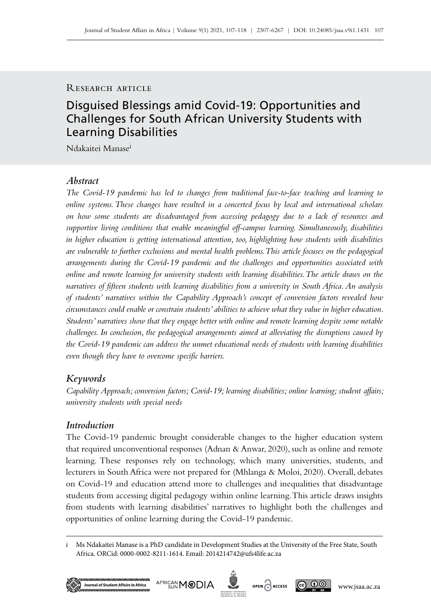# Research article

# Disguised Blessings amid Covid‑19: Opportunities and Challenges for South African University Students with Learning Disabilities

Ndakaitei Manasei

# *Abstract*

*The Covid‑19 pandemic has led to changes from traditional face-to-face teaching and learning to online systems. These changes have resulted in a concerted focus by local and international scholars on how some students are disadvantaged from accessing pedagogy due to a lack of resources and supportive living conditions that enable meaningful off‑campus learning. Simultaneously, disabilities in higher education is getting international attention, too, highlighting how students with disabilities are vulnerable to further exclusions and mental health problems. This article focuses on the pedagogical arrangements during the Covid‑19 pandemic and the challenges and opportunities associated with online and remote learning for university students with learning disabilities. The article draws on the narratives of fifteen students with learning disabilities from a university in South Africa. An analysis of students' narratives within the Capability Approach's concept of conversion factors revealed how circumstances could enable or constrain students' abilities to achieve what they value in higher education. Students' narratives show that they engage better with online and remote learning despite some notable challenges. In conclusion, the pedagogical arrangements aimed at alleviating the disruptions caused by the Covid‑19 pandemic can address the unmet educational needs of students with learning disabilities even though they have to overcome specific barriers.* 

# *Keywords*

*Capability Approach; conversion factors; Covid‑19; learning disabilities; online learning; student affairs; university students with special needs*

# *Introduction*

The Covid-19 pandemic brought considerable changes to the higher education system that required unconventional responses (Adnan & Anwar, 2020), such as online and remote learning. These responses rely on technology, which many universities, students, and lecturers in South Africa were not prepared for (Mhlanga & Moloi, 2020). Overall, debates on Covid-19 and education attend more to challenges and inequalities that disadvantage students from accessing digital pedagogy within online learning. This article draws insights from students with learning disabilities' narratives to highlight both the challenges and opportunities of online learning during the Covid‑19 pandemic.

i Ms Ndakaitei Manase is a PhD candidate in Development Studies at the University of the Free State, South Africa. ORCid: 0000-0002-8211-1614. Email: [2014214742@ufs4life.ac.za](mailto:2014214742%40ufs4life.ac.za?subject=)





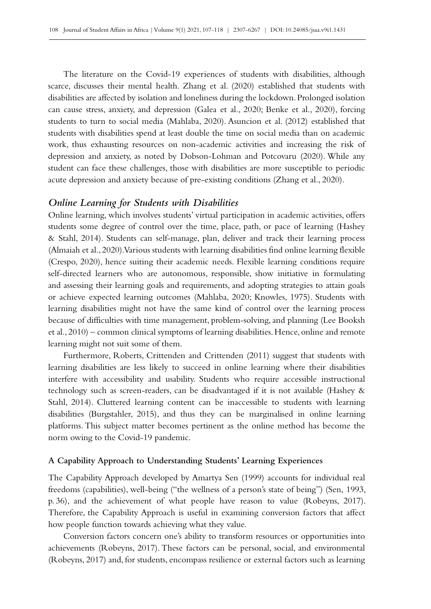The literature on the Covid-19 experiences of students with disabilities, although scarce, discusses their mental health. Zhang et al. (2020) established that students with disabilities are affected by isolation and loneliness during the lockdown. Prolonged isolation can cause stress, anxiety, and depression (Galea et al., 2020; Benke et al., 2020), forcing students to turn to social media (Mahlaba, 2020). Asuncion et al. (2012) established that students with disabilities spend at least double the time on social media than on academic work, thus exhausting resources on non-academic activities and increasing the risk of depression and anxiety, as noted by Dobson-Lohman and Potcovaru (2020). While any student can face these challenges, those with disabilities are more susceptible to periodic acute depression and anxiety because of pre‑existing conditions (Zhang et al., 2020).

### *Online Learning for Students with Disabilities*

Online learning, which involves students' virtual participation in academic activities, offers students some degree of control over the time, place, path, or pace of learning (Hashey & Stahl, 2014). Students can self-manage, plan, deliver and track their learning process (Almaiah et al., 2020). Various students with learning disabilities find online learning flexible (Crespo, 2020), hence suiting their academic needs. Flexible learning conditions require self-directed learners who are autonomous, responsible, show initiative in formulating and assessing their learning goals and requirements, and adopting strategies to attain goals or achieve expected learning outcomes (Mahlaba, 2020; Knowles, 1975). Students with learning disabilities might not have the same kind of control over the learning process because of difficulties with time management, problem-solving, and planning (Lee Booksh et al., 2010) – common clinical symptoms of learning disabilities. Hence, online and remote learning might not suit some of them.

Furthermore, Roberts, Crittenden and Crittenden (2011) suggest that students with learning disabilities are less likely to succeed in online learning where their disabilities interfere with accessibility and usability. Students who require accessible instructional technology such as screen-readers, can be disadvantaged if it is not available (Hashey & Stahl, 2014). Cluttered learning content can be inaccessible to students with learning disabilities (Burgstahler, 2015), and thus they can be marginalised in online learning platforms. This subject matter becomes pertinent as the online method has become the norm owing to the Covid-19 pandemic.

### **A Capability Approach to Understanding Students' Learning Experiences**

The Capability Approach developed by Amartya Sen (1999) accounts for individual real freedoms (capabilities), well-being ("the wellness of a person's state of being") (Sen, 1993, p. 36), and the achievement of what people have reason to value (Robeyns, 2017). Therefore, the Capability Approach is useful in examining conversion factors that affect how people function towards achieving what they value.

Conversion factors concern one's ability to transform resources or opportunities into achievements (Robeyns, 2017). These factors can be personal, social, and environmental (Robeyns, 2017) and, for students, encompass resilience or external factors such as learning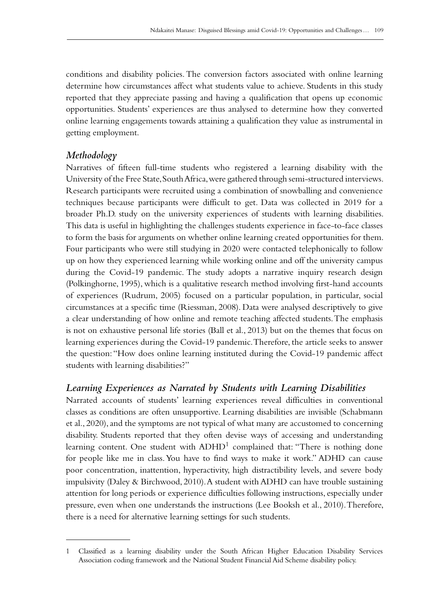conditions and disability policies. The conversion factors associated with online learning determine how circumstances affect what students value to achieve. Students in this study reported that they appreciate passing and having a qualification that opens up economic opportunities. Students' experiences are thus analysed to determine how they converted online learning engagements towards attaining a qualification they value as instrumental in getting employment.

# *Methodology*

Narratives of fifteen full-time students who registered a learning disability with the University of the Free State, South Africa, were gathered through semi-structured interviews. Research participants were recruited using a combination of snowballing and convenience techniques because participants were difficult to get. Data was collected in 2019 for a broader Ph.D. study on the university experiences of students with learning disabilities. This data is useful in highlighting the challenges students experience in face-to-face classes to form the basis for arguments on whether online learning created opportunities for them. Four participants who were still studying in 2020 were contacted telephonically to follow up on how they experienced learning while working online and off the university campus during the Covid–19 pandemic. The study adopts a narrative inquiry research design (Polkinghorne, 1995), which is a qualitative research method involving first-hand accounts of experiences (Rudrum, 2005) focused on a particular population, in particular, social circumstances at a specific time (Riessman, 2008). Data were analysed descriptively to give a clear understanding of how online and remote teaching affected students. The emphasis is not on exhaustive personal life stories (Ball et al., 2013) but on the themes that focus on learning experiences during the Covid-19 pandemic. Therefore, the article seeks to answer the question: "How does online learning instituted during the Covid‑19 pandemic affect students with learning disabilities?"

# *Learning Experiences as Narrated by Students with Learning Disabilities*

Narrated accounts of students' learning experiences reveal difficulties in conventional classes as conditions are often unsupportive. Learning disabilities are invisible (Schabmann et al., 2020), and the symptoms are not typical of what many are accustomed to concerning disability. Students reported that they often devise ways of accessing and understanding learning content. One student with  $ADHD<sup>1</sup>$  complained that: "There is nothing done for people like me in class. You have to find ways to make it work." ADHD can cause poor concentration, inattention, hyperactivity, high distractibility levels, and severe body impulsivity (Daley & Birchwood, 2010). A student with ADHD can have trouble sustaining attention for long periods or experience difficulties following instructions, especially under pressure, even when one understands the instructions (Lee Booksh et al., 2010). Therefore, there is a need for alternative learning settings for such students.

<sup>1</sup> Classified as a learning disability under the South African Higher Education Disability Services Association coding framework and the National Student Financial Aid Scheme disability policy.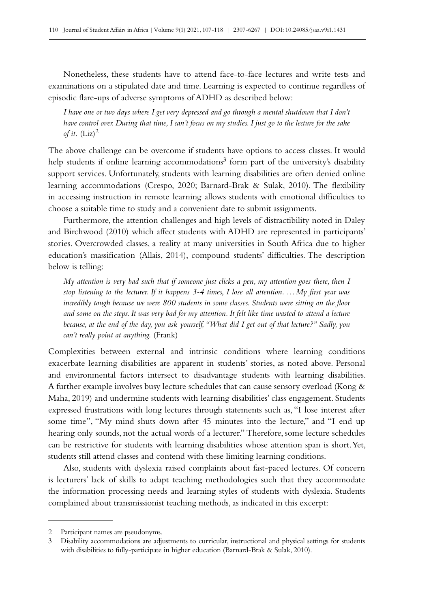Nonetheless, these students have to attend face-to-face lectures and write tests and examinations on a stipulated date and time. Learning is expected to continue regardless of episodic flare‑ups of adverse symptoms of ADHD as described below:

*I have one or two days where I get very depressed and go through a mental shutdown that I don't have control over. During that time, I can't focus on my studies. I just go to the lecture for the sake of it.*  $(Liz)^2$ 

The above challenge can be overcome if students have options to access classes. It would help students if online learning accommodations<sup>3</sup> form part of the university's disability support services. Unfortunately, students with learning disabilities are often denied online learning accommodations (Crespo, 2020; Barnard-Brak & Sulak, 2010). The flexibility in accessing instruction in remote learning allows students with emotional difficulties to choose a suitable time to study and a convenient date to submit assignments.

Furthermore, the attention challenges and high levels of distractibility noted in Daley and Birchwood (2010) which affect students with ADHD are represented in participants' stories. Overcrowded classes, a reality at many universities in South Africa due to higher education's massification (Allais, 2014), compound students' difficulties. The description below is telling:

*My attention is very bad such that if someone just clicks a pen, my attention goes there, then I stop listening to the lecturer. If it happens 3-4 times, I lose all attention. …My first year was incredibly tough because we were 800 students in some classes. Students were sitting on the floor and some on the steps. It was very bad for my attention. It felt like time wasted to attend a lecture because, at the end of the day, you ask yourself, "What did I get out of that lecture?" Sadly, you can't really point at anything.* (Frank)

Complexities between external and intrinsic conditions where learning conditions exacerbate learning disabilities are apparent in students' stories, as noted above. Personal and environmental factors intersect to disadvantage students with learning disabilities. A further example involves busy lecture schedules that can cause sensory overload (Kong & Maha, 2019) and undermine students with learning disabilities' class engagement. Students expressed frustrations with long lectures through statements such as, "I lose interest after some time", "My mind shuts down after 45 minutes into the lecture," and "I end up hearing only sounds, not the actual words of a lecturer." Therefore, some lecture schedules can be restrictive for students with learning disabilities whose attention span is short. Yet, students still attend classes and contend with these limiting learning conditions.

Also, students with dyslexia raised complaints about fast-paced lectures. Of concern is lecturers' lack of skills to adapt teaching methodologies such that they accommodate the information processing needs and learning styles of students with dyslexia. Students complained about transmissionist teaching methods, as indicated in this excerpt:

<sup>2</sup> Participant names are pseudonyms.

<sup>3</sup> Disability accommodations are adjustments to curricular, instructional and physical settings for students with disabilities to fully-participate in higher education (Barnard-Brak & Sulak, 2010).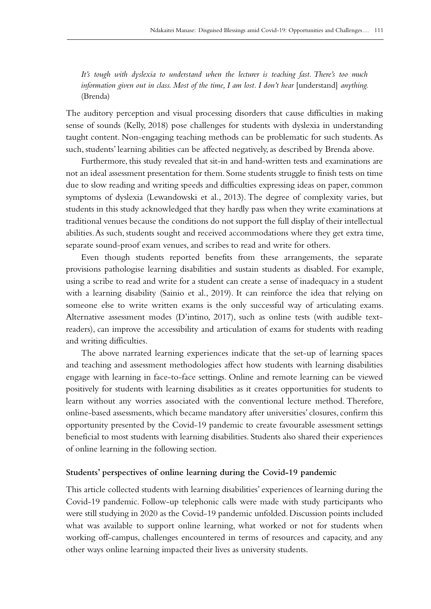*It's tough with dyslexia to understand when the lecturer is teaching fast. There's too much information given out in class. Most of the time, I am lost. I don't hear* [understand] *anything.* (Brenda)

The auditory perception and visual processing disorders that cause difficulties in making sense of sounds (Kelly, 2018) pose challenges for students with dyslexia in understanding taught content. Non-engaging teaching methods can be problematic for such students. As such, students' learning abilities can be affected negatively, as described by Brenda above.

Furthermore, this study revealed that sit-in and hand-written tests and examinations are not an ideal assessment presentation for them. Some students struggle to finish tests on time due to slow reading and writing speeds and difficulties expressing ideas on paper, common symptoms of dyslexia (Lewandowski et al., 2013). The degree of complexity varies, but students in this study acknowledged that they hardly pass when they write examinations at traditional venues because the conditions do not support the full display of their intellectual abilities. As such, students sought and received accommodations where they get extra time, separate sound-proof exam venues, and scribes to read and write for others.

Even though students reported benefits from these arrangements, the separate provisions pathologise learning disabilities and sustain students as disabled. For example, using a scribe to read and write for a student can create a sense of inadequacy in a student with a learning disability (Sainio et al., 2019). It can reinforce the idea that relying on someone else to write written exams is the only successful way of articulating exams. Alternative assessment modes (D'intino, 2017), such as online tests (with audible textreaders), can improve the accessibility and articulation of exams for students with reading and writing difficulties.

The above narrated learning experiences indicate that the set‑up of learning spaces and teaching and assessment methodologies affect how students with learning disabilities engage with learning in face-to-face settings. Online and remote learning can be viewed positively for students with learning disabilities as it creates opportunities for students to learn without any worries associated with the conventional lecture method. Therefore, online-based assessments, which became mandatory after universities' closures, confirm this opportunity presented by the Covid‑19 pandemic to create favourable assessment settings beneficial to most students with learning disabilities. Students also shared their experiences of online learning in the following section.

### **Students' perspectives of online learning during the Covid‑19 pandemic**

This article collected students with learning disabilities' experiences of learning during the Covid‑19 pandemic. Follow-up telephonic calls were made with study participants who were still studying in 2020 as the Covid‑19 pandemic unfolded. Discussion points included what was available to support online learning, what worked or not for students when working off-campus, challenges encountered in terms of resources and capacity, and any other ways online learning impacted their lives as university students.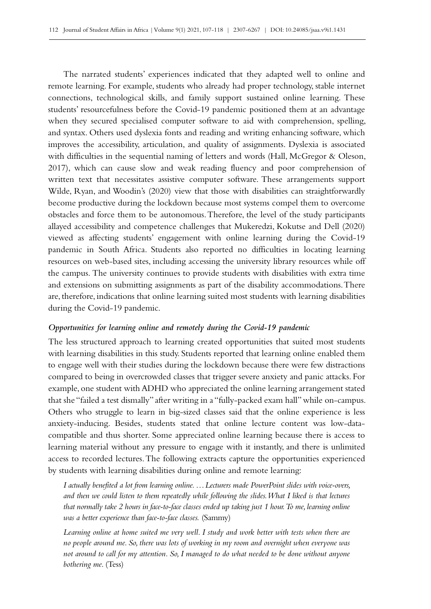The narrated students' experiences indicated that they adapted well to online and remote learning. For example, students who already had proper technology, stable internet connections, technological skills, and family support sustained online learning. These students' resourcefulness before the Covid-19 pandemic positioned them at an advantage when they secured specialised computer software to aid with comprehension, spelling, and syntax. Others used dyslexia fonts and reading and writing enhancing software, which improves the accessibility, articulation, and quality of assignments. Dyslexia is associated with difficulties in the sequential naming of letters and words (Hall, McGregor & Oleson, 2017), which can cause slow and weak reading fluency and poor comprehension of written text that necessitates assistive computer software. These arrangements support Wilde, Ryan, and Woodin's (2020) view that those with disabilities can straightforwardly become productive during the lockdown because most systems compel them to overcome obstacles and force them to be autonomous. Therefore, the level of the study participants allayed accessibility and competence challenges that Mukeredzi, Kokutse and Dell (2020) viewed as affecting students' engagement with online learning during the Covid-19 pandemic in South Africa. Students also reported no difficulties in locating learning resources on web-based sites, including accessing the university library resources while off the campus. The university continues to provide students with disabilities with extra time and extensions on submitting assignments as part of the disability accommodations. There are, therefore, indications that online learning suited most students with learning disabilities during the Covid-19 pandemic.

### *Opportunities for learning online and remotely during the Covid‑19 pandemic*

The less structured approach to learning created opportunities that suited most students with learning disabilities in this study. Students reported that learning online enabled them to engage well with their studies during the lockdown because there were few distractions compared to being in overcrowded classes that trigger severe anxiety and panic attacks. For example, one student with ADHD who appreciated the online learning arrangement stated that she "failed a test dismally" after writing in a "fully-packed exam hall" while on-campus. Others who struggle to learn in big-sized classes said that the online experience is less anxiety-inducing. Besides, students stated that online lecture content was low-datacompatible and thus shorter. Some appreciated online learning because there is access to learning material without any pressure to engage with it instantly, and there is unlimited access to recorded lectures. The following extracts capture the opportunities experienced by students with learning disabilities during online and remote learning:

*I actually benefited a lot from learning online. …Lecturers made PowerPoint slides with voice-overs, and then we could listen to them repeatedly while following the slides. What I liked is that lectures that normally take 2 hours in face-to-face classes ended up taking just 1 hour. To me, learning online was a better experience than face-to-face classes.* (Sammy)

*Learning online at home suited me very well. I study and work better with tests when there are no people around me. So, there was lots of working in my room and overnight when everyone was not around to call for my attention. So, I managed to do what needed to be done without anyone bothering me.* (Tess)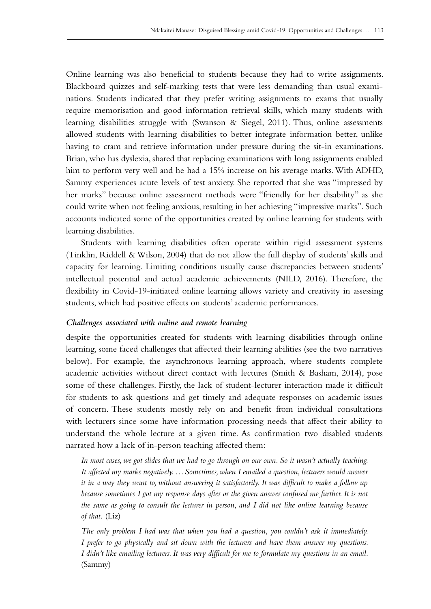Online learning was also beneficial to students because they had to write assignments. Blackboard quizzes and self-marking tests that were less demanding than usual exami– nations. Students indicated that they prefer writing assignments to exams that usually require memorisation and good information retrieval skills, which many students with learning disabilities struggle with (Swanson & Siegel, 2011). Thus, online assessments allowed students with learning disabilities to better integrate information better, unlike having to cram and retrieve information under pressure during the sit-in examinations. Brian, who has dyslexia, shared that replacing examinations with long assignments enabled him to perform very well and he had a 15% increase on his average marks. With ADHD, Sammy experiences acute levels of test anxiety. She reported that she was "impressed by her marks" because online assessment methods were "friendly for her disability" as she could write when not feeling anxious, resulting in her achieving "impressive marks". Such accounts indicated some of the opportunities created by online learning for students with learning disabilities.

Students with learning disabilities often operate within rigid assessment systems (Tinklin, Riddell & Wilson, 2004) that do not allow the full display of students' skills and capacity for learning. Limiting conditions usually cause discrepancies between students' intellectual potential and actual academic achievements (NILD, 2016). Therefore, the flexibility in Covid–19-initiated online learning allows variety and creativity in assessing students, which had positive effects on students' academic performances.

### *Challenges associated with online and remote learning*

despite the opportunities created for students with learning disabilities through online learning, some faced challenges that affected their learning abilities (see the two narratives below). For example, the asynchronous learning approach, where students complete academic activities without direct contact with lectures (Smith & Basham, 2014), pose some of these challenges. Firstly, the lack of student-lecturer interaction made it difficult for students to ask questions and get timely and adequate responses on academic issues of concern. These students mostly rely on and benefit from individual consultations with lecturers since some have information processing needs that affect their ability to understand the whole lecture at a given time. As confirmation two disabled students narrated how a lack of in‑person teaching affected them:

*In most cases, we got slides that we had to go through on our own. So it wasn't actually teaching. It affected my marks negatively. …Sometimes, when I emailed a question, lecturers would answer it in a way they want to, without answering it satisfactorily. It was difficult to make a follow up because sometimes I got my response days after or the given answer confused me further. It is not the same as going to consult the lecturer in person, and I did not like online learning because of that.* (Liz)

*The only problem I had was that when you had a question, you couldn't ask it immediately. I prefer to go physically and sit down with the lecturers and have them answer my questions. I didn't like emailing lecturers. It was very difficult for me to formulate my questions in an email.*  (Sammy)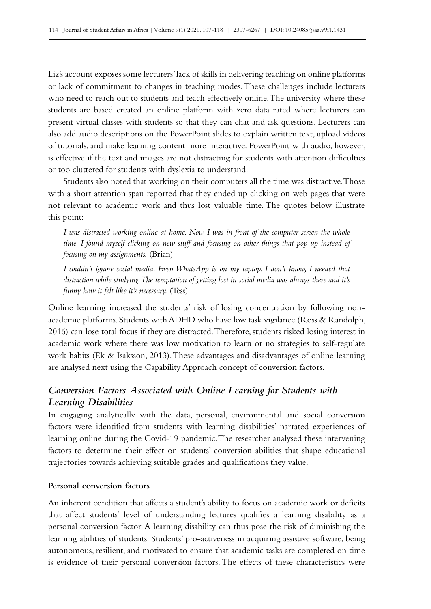Liz's account exposes some lecturers' lack of skills in delivering teaching on online platforms or lack of commitment to changes in teaching modes. These challenges include lecturers who need to reach out to students and teach effectively online. The university where these students are based created an online platform with zero data rated where lecturers can present virtual classes with students so that they can chat and ask questions. Lecturers can also add audio descriptions on the PowerPoint slides to explain written text, upload videos of tutorials, and make learning content more interactive. PowerPoint with audio, however, is effective if the text and images are not distracting for students with attention difficulties or too cluttered for students with dyslexia to understand.

Students also noted that working on their computers all the time was distractive. Those with a short attention span reported that they ended up clicking on web pages that were not relevant to academic work and thus lost valuable time. The quotes below illustrate this point:

*I was distracted working online at home. Now I was in front of the computer screen the whole time. I found myself clicking on new stuff and focusing on other things that pop-up instead of focusing on my assignments.* (Brian)

*I couldn't ignore social media. Even WhatsApp is on my laptop. I don't know, I needed that distraction while studying. The temptation of getting lost in social media was always there and it's funny how it felt like it's necessary.* (Tess)

Online learning increased the students' risk of losing concentration by following nonacademic platforms. Students with ADHD who have low task vigilance (Ross & Randolph, 2016) can lose total focus if they are distracted. Therefore, students risked losing interest in academic work where there was low motivation to learn or no strategies to self-regulate work habits (Ek & Isaksson, 2013). These advantages and disadvantages of online learning are analysed next using the Capability Approach concept of conversion factors.

# *Conversion Factors Associated with Online Learning for Students with Learning Disabilities*

In engaging analytically with the data, personal, environmental and social conversion factors were identified from students with learning disabilities' narrated experiences of learning online during the Covid-19 pandemic. The researcher analysed these intervening factors to determine their effect on students' conversion abilities that shape educational trajectories towards achieving suitable grades and qualifications they value.

### **Personal conversion factors**

An inherent condition that affects a student's ability to focus on academic work or deficits that affect students' level of understanding lectures qualifies a learning disability as a personal conversion factor. A learning disability can thus pose the risk of diminishing the learning abilities of students. Students' pro-activeness in acquiring assistive software, being autonomous, resilient, and motivated to ensure that academic tasks are completed on time is evidence of their personal conversion factors. The effects of these characteristics were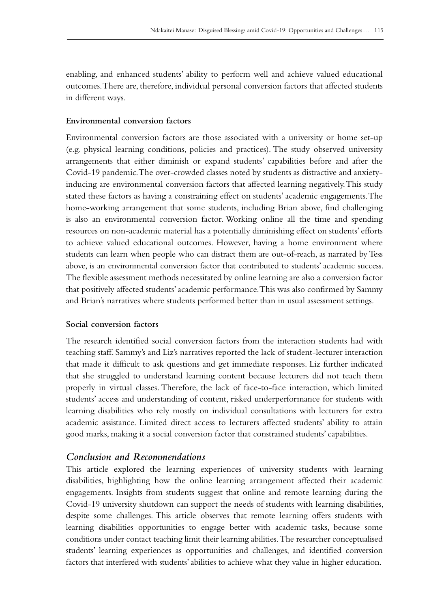enabling, and enhanced students' ability to perform well and achieve valued educational outcomes. There are, therefore, individual personal conversion factors that affected students in different ways.

### **Environmental conversion factors**

Environmental conversion factors are those associated with a university or home set-up (e.g. physical learning conditions, policies and practices). The study observed university arrangements that either diminish or expand students' capabilities before and after the Covid‑19 pandemic. The over-crowded classes noted by students as distractive and anxietyinducing are environmental conversion factors that affected learning negatively. This study stated these factors as having a constraining effect on students' academic engagements. The home-working arrangement that some students, including Brian above, find challenging is also an environmental conversion factor. Working online all the time and spending resources on non-academic material has a potentially diminishing effect on students' efforts to achieve valued educational outcomes. However, having a home environment where students can learn when people who can distract them are out-of-reach, as narrated by Tess above, is an environmental conversion factor that contributed to students' academic success. The flexible assessment methods necessitated by online learning are also a conversion factor that positively affected students' academic performance. This was also confirmed by Sammy and Brian's narratives where students performed better than in usual assessment settings.

### **Social conversion factors**

The research identified social conversion factors from the interaction students had with teaching staff. Sammy's and Liz's narratives reported the lack of student-lecturer interaction that made it difficult to ask questions and get immediate responses. Liz further indicated that she struggled to understand learning content because lecturers did not teach them properly in virtual classes. Therefore, the lack of face-to-face interaction, which limited students' access and understanding of content, risked underperformance for students with learning disabilities who rely mostly on individual consultations with lecturers for extra academic assistance. Limited direct access to lecturers affected students' ability to attain good marks, making it a social conversion factor that constrained students' capabilities.

### *Conclusion and Recommendations*

This article explored the learning experiences of university students with learning disabilities, highlighting how the online learning arrangement affected their academic engagements. Insights from students suggest that online and remote learning during the Covid‑19 university shutdown can support the needs of students with learning disabilities, despite some challenges. This article observes that remote learning offers students with learning disabilities opportunities to engage better with academic tasks, because some conditions under contact teaching limit their learning abilities. The researcher conceptualised students' learning experiences as opportunities and challenges, and identified conversion factors that interfered with students' abilities to achieve what they value in higher education.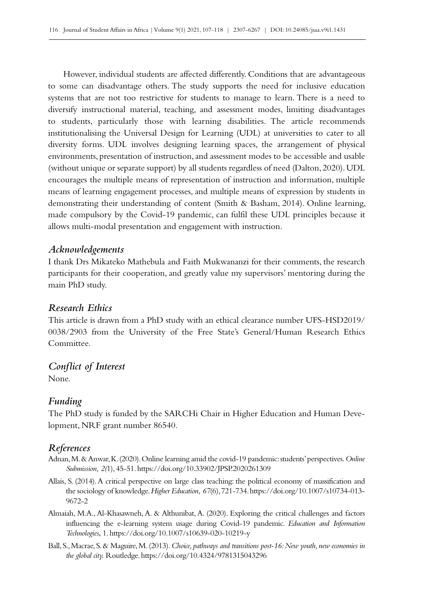However, individual students are affected differently. Conditions that are advantageous to some can disadvantage others. The study supports the need for inclusive education systems that are not too restrictive for students to manage to learn. There is a need to diversify instructional material, teaching, and assessment modes, limiting disadvantages to students, particularly those with learning disabilities. The article recommends institutionalising the Universal Design for Learning (UDL) at universities to cater to all diversity forms. UDL involves designing learning spaces, the arrangement of physical environments, presentation of instruction, and assessment modes to be accessible and usable (without unique or separate support) by all students regardless of need (Dalton, 2020). UDL encourages the multiple means of representation of instruction and information, multiple means of learning engagement processes, and multiple means of expression by students in demonstrating their understanding of content (Smith & Basham, 2014). Online learning, made compulsory by the Covid–19 pandemic, can fulfil these UDL principles because it allows multi-modal presentation and engagement with instruction.

# *Acknowledgements*

I thank Drs Mikateko Mathebula and Faith Mukwananzi for their comments, the research participants for their cooperation, and greatly value my supervisors' mentoring during the main PhD study.

### *Research Ethics*

This article is drawn from a PhD study with an ethical clearance number UFS-HSD2019/ 0038/2903 from the University of the Free State's General/Human Research Ethics Committee.

# *Conflict of Interest*

None.

# *Funding*

The PhD study is funded by the SARCHi Chair in Higher Education and Human Development, NRF grant number 86540.

# *References*

- Adnan, M. & Anwar, K. (2020). Online learning amid the covid‑19 pandemic: students' perspectives. *Online Submission, 2(*1), 45‑51.<https://doi.org/10.33902/JPSP.2020261309>
- Allais, S. (2014). A critical perspective on large class teaching: the political economy of massification and the sociology of knowledge. *Higher Education, 67*(6), 721‑734. [https://doi.org/10.1007/s10734-013-](https://doi.org/10.1007/s10734-013-9672-2)[9672-2](https://doi.org/10.1007/s10734-013-9672-2)
- Almaiah, M.A., Al-Khasawneh, A. & Althunibat, A. (2020). Exploring the critical challenges and factors influencing the e‑learning system usage during Covid‑19 pandemic. *Education and Information Technologies*, 1. <https://doi.org/10.1007/s10639-020-10219-y>
- Ball, S., Macrae, S. & Maguire, M. (2013). *Choice, pathways and transitions post‑16: New youth, new economies in the global city.* Routledge. <https://doi.org/10.4324/9781315043296>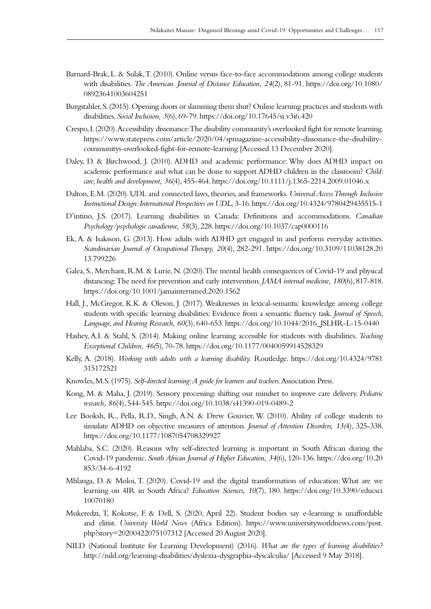- Barnard-Brak, L. & Sulak, T. (2010). Online versus face-to-face accommodations among college students with disabilities. *The American. Journal of Distance Education, 24*(2), 81‑91. [https://doi.org/10.1080/](https://doi.org/10.1080/08923641003604251) [08923641003604251](https://doi.org/10.1080/08923641003604251)
- Burgstahler, S. (2015). Opening doors or slamming them shut? Online learning practices and students with disabilities. *Social Inclusion, 3*(6), 69‑79.<https://doi.org/10.17645/si.v3i6.420>
- Crespo, I. (2020). Accessibility dissonance: The disability community's overlooked fight for remote learning. [https://www.statepress.com/article/2020/04/spmagazine-accessibility-dissonance-the-disability](https://www.statepress.com/article/2020/04/spmagazine-accessibility-dissonance-the-disability-commun)[communitys-overlooked-fight-for-remote-learning](https://www.statepress.com/article/2020/04/spmagazine-accessibility-dissonance-the-disability-commun) [Accessed 13 December 2020].
- Daley, D. & Birchwood, J. (2010). ADHD and academic performance: Why does ADHD impact on academic performance and what can be done to support ADHD children in the classroom? *Child: care, health and development, 36*(4), 455‑464.<https://doi.org/10.1111/j.1365-2214.2009.01046.x>
- Dalton, E.M. (2020). UDL and connected laws, theories, and frameworks. *Universal Access Through Inclusive Instructional Design: International Perspectives on UDL*, 3‑16.<https://doi.org/10.4324/9780429435515-1>
- D'intino, J.S. (2017). Learning disabilities in Canada: Definitions and accommodations. *Canadian Psychology/psychologie canadienne, 58*(3), 228.<https://doi.org/10.1037/cap0000116>
- Ek, A. & Isaksson, G. (2013). How adults with ADHD get engaged in and perform everyday activities. *Scandinavian Journal of Occupational Therapy, 20*(4), 282‑291. [https://doi.org/10.3109/11038128.20](https://doi.org/10.3109/11038128.2013.799226) [13.799226](https://doi.org/10.3109/11038128.2013.799226)
- Galea, S., Merchant, R.M. & Lurie, N. (2020). The mental health consequences of Covid-19 and physical distancing: The need for prevention and early intervention. *JAMA internal medicine, 180*(6), 817‑818. <https://doi.org/10.1001/jamainternmed.2020.1562>
- Hall, J., McGregor, K.K. & Oleson, J. (2017). Weaknesses in lexical-semantic knowledge among college students with specific learning disabilities: Evidence from a semantic fluency task. *Journal of Speech, Language, and Hearing Research, 60*(3), 640‑653. [https://doi.org/10.1044/2016\\_JSLHR-L-15-0440](https://doi.org/10.1044/2016_JSLHR-L-15-0440)
- Hashey, A.I. & Stahl, S. (2014). Making online learning accessible for students with disabilities. *Teaching Exceptional Children, 46(*5), 70‑78.<https://doi.org/10.1177/0040059914528329>
- Kelly, A. (2018). *Working with adults with a learning disability.* Routledge. [https://doi.org/10.4324/9781](https://doi.org/10.4324/9781315172521) [315172521](https://doi.org/10.4324/9781315172521)
- Knowles, M.S. (1975). *Self-directed learning: A guide for learners and teachers*. Association Press.
- Kong, M. & Maha, J. (2019). Sensory processing: shifting our mindset to improve care delivery. *Pediatric research, 86*(4), 544‑545. <https://doi.org/10.1038/s41390-019-0489-2>
- Lee Booksh, R., Pella, R.D., Singh, A.N. & Drew Gouvier, W. (2010). Ability of college students to simulate ADHD on objective measures of attention. *Journal of Attention Disorders, 13(*4), 325‑338. <https://doi.org/10.1177/1087054708329927>
- Mahlaba, S.C. (2020). Reasons why self-directed learning is important in South African during the Covid‑19 pandemic. *South African Journal of Higher Education, 34*(6), 120‑136. [https://doi.org/10.20](https://doi.org/10.20853/34-6-4192) [853/34-6-4192](https://doi.org/10.20853/34-6-4192)
- Mhlanga, D. & Moloi, T. (2020). Covid-19 and the digital transformation of education: What are we learning on 4IR in South Africa? *Education Sciences, 10*(7), 180. [https://doi.org/10.3390/educsci](https://doi.org/10.3390/educsci10070180) [10070180](https://doi.org/10.3390/educsci10070180)
- Mukeredzi, T, Kokutse, F. & Dell, S. (2020, April 22). Student bodies say e‑learning is unaffordable and elitist. *University World News* (Africa Edition). [https://www.universityworldnews.com/post.](https://www.universityworldnews.com/post.php?story=20200422075107312) [php?story=20200422075107312](https://www.universityworldnews.com/post.php?story=20200422075107312) [Accessed 20 August 2020].
- NILD (National Institute for Learning Development) (2016). *What are the types of learning disabilities?* <http://nild.org/learning-disabilities/dyslexia-dysgraphia-dyscalculia/>[Accessed 9 May 2018].